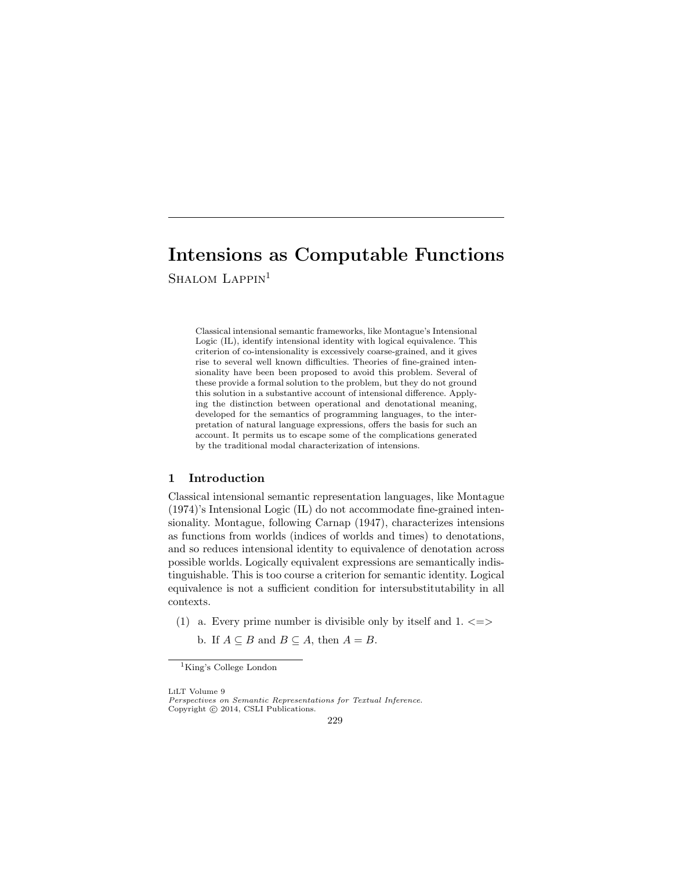# Intensions as Computable Functions

SHALOM LAPPIN<sup>1</sup>

Classical intensional semantic frameworks, like Montague's Intensional Logic (IL), identify intensional identity with logical equivalence. This criterion of co-intensionality is excessively coarse-grained, and it gives rise to several well known difficulties. Theories of fine-grained intensionality have been been proposed to avoid this problem. Several of these provide a formal solution to the problem, but they do not ground this solution in a substantive account of intensional difference. Applying the distinction between operational and denotational meaning, developed for the semantics of programming languages, to the interpretation of natural language expressions, offers the basis for such an account. It permits us to escape some of the complications generated by the traditional modal characterization of intensions.

# 1 Introduction

Classical intensional semantic representation languages, like Montague (1974)'s Intensional Logic (IL) do not accommodate fine-grained intensionality. Montague, following Carnap (1947), characterizes intensions as functions from worlds (indices of worlds and times) to denotations, and so reduces intensional identity to equivalence of denotation across possible worlds. Logically equivalent expressions are semantically indistinguishable. This is too course a criterion for semantic identity. Logical equivalence is not a sufficient condition for intersubstitutability in all contexts.

- (1) a. Every prime number is divisible only by itself and 1. *<*=*>*
	- b. If  $A \subseteq B$  and  $B \subseteq A$ , then  $A = B$ .

*Perspectives on Semantic Representations for Textual Inference*. Copyright  $\odot$  2014, CSLI Publications.

<sup>1</sup>King's College London

LiLT Volume 9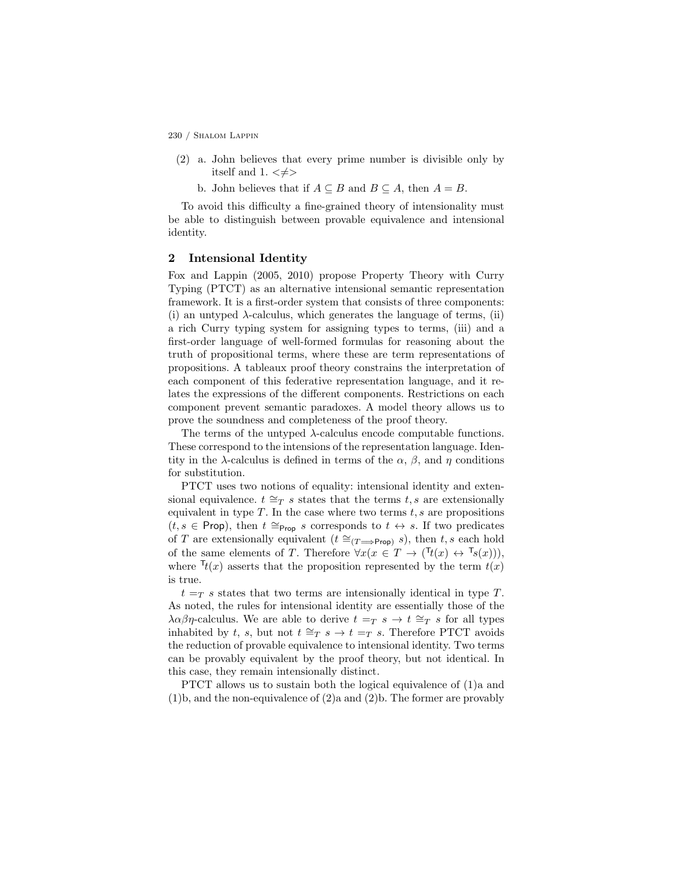- 230 / Shalom Lappin
	- (2) a. John believes that every prime number is divisible only by itself and 1.  $\lt \neq$ 
		- b. John believes that if  $A \subseteq B$  and  $B \subseteq A$ , then  $A = B$ .

To avoid this difficulty a fine-grained theory of intensionality must be able to distinguish between provable equivalence and intensional identity.

## 2 Intensional Identity

Fox and Lappin (2005, 2010) propose Property Theory with Curry Typing (PTCT) as an alternative intensional semantic representation framework. It is a first-order system that consists of three components: (i) an untyped  $\lambda$ -calculus, which generates the language of terms, (ii) a rich Curry typing system for assigning types to terms, (iii) and a first-order language of well-formed formulas for reasoning about the truth of propositional terms, where these are term representations of propositions. A tableaux proof theory constrains the interpretation of each component of this federative representation language, and it relates the expressions of the different components. Restrictions on each component prevent semantic paradoxes. A model theory allows us to prove the soundness and completeness of the proof theory.

The terms of the untyped  $\lambda$ -calculus encode computable functions. These correspond to the intensions of the representation language. Identity in the  $\lambda$ -calculus is defined in terms of the  $\alpha$ ,  $\beta$ , and  $\eta$  conditions for substitution.

PTCT uses two notions of equality: intensional identity and extensional equivalence.  $t \cong_T s$  states that the terms  $t, s$  are extensionally equivalent in type  $T$ . In the case where two terms  $t, s$  are propositions  $(t, s \in \text{Prop})$ , then  $t \cong_{\text{Prop}} s$  corresponds to  $t \leftrightarrow s$ . If two predicates of *T* are extensionally equivalent  $(t \cong (T \implies \text{Prop}) s)$ , then *t*, *s* each hold of the same elements of *T*. Therefore  $\forall x (x \in T \rightarrow (T_t(x) \leftrightarrow T_s(x))),$ where  $\tau_t(x)$  asserts that the proposition represented by the term  $t(x)$ is true.

 $t = T$  *s* states that two terms are intensionally identical in type *T*. As noted, the rules for intensional identity are essentially those of the  $\lambda \alpha \beta \eta$ -calculus. We are able to derive  $t = T$   $s \to t \cong T$  *s* for all types inhabited by *t*, *s*, but not  $t \cong_T s \to t =_T s$ . Therefore PTCT avoids the reduction of provable equivalence to intensional identity. Two terms can be provably equivalent by the proof theory, but not identical. In this case, they remain intensionally distinct.

PTCT allows us to sustain both the logical equivalence of (1)a and (1)b, and the non-equivalence of (2)a and (2)b. The former are provably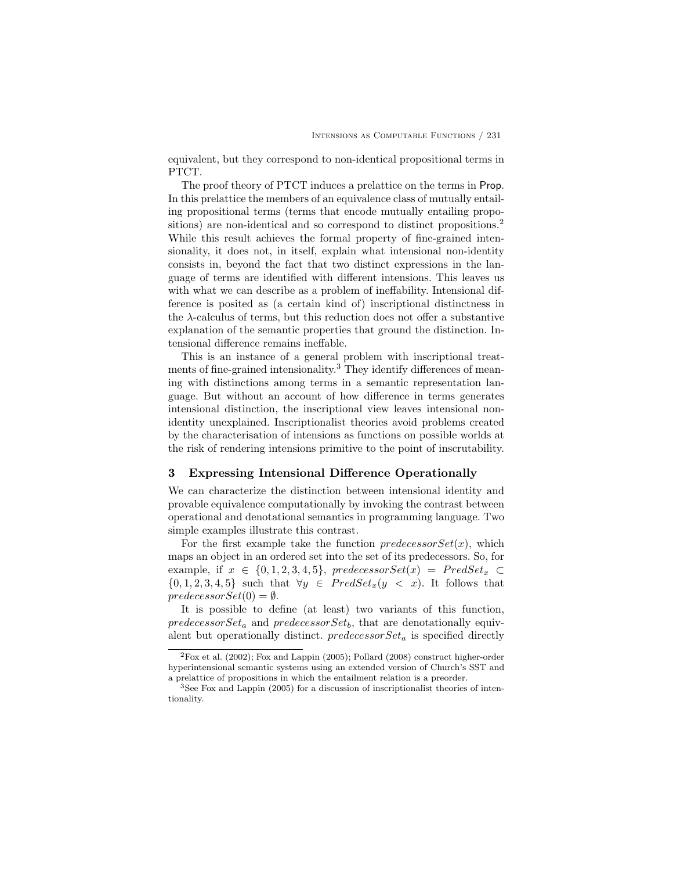equivalent, but they correspond to non-identical propositional terms in PTCT.

The proof theory of PTCT induces a prelattice on the terms in Prop. In this prelattice the members of an equivalence class of mutually entailing propositional terms (terms that encode mutually entailing propositions) are non-identical and so correspond to distinct propositions.<sup>2</sup> While this result achieves the formal property of fine-grained intensionality, it does not, in itself, explain what intensional non-identity consists in, beyond the fact that two distinct expressions in the language of terms are identified with different intensions. This leaves us with what we can describe as a problem of ineffability. Intensional difference is posited as (a certain kind of) inscriptional distinctness in the  $\lambda$ -calculus of terms, but this reduction does not offer a substantive explanation of the semantic properties that ground the distinction. Intensional difference remains ineffable.

This is an instance of a general problem with inscriptional treatments of fine-grained intensionality.<sup>3</sup> They identify differences of meaning with distinctions among terms in a semantic representation language. But without an account of how difference in terms generates intensional distinction, the inscriptional view leaves intensional nonidentity unexplained. Inscriptionalist theories avoid problems created by the characterisation of intensions as functions on possible worlds at the risk of rendering intensions primitive to the point of inscrutability.

## 3 Expressing Intensional Difference Operationally

We can characterize the distinction between intensional identity and provable equivalence computationally by invoking the contrast between operational and denotational semantics in programming language. Two simple examples illustrate this contrast.

For the first example take the function  $predecessorSet(x)$ , which maps an object in an ordered set into the set of its predecessors. So, for example, if  $x \in \{0, 1, 2, 3, 4, 5\}$ , predecessorSet $(x)$  = PredSet<sub>x</sub>  $\subset$  $\{0, 1, 2, 3, 4, 5\}$  such that  $\forall y \in PredSet_x(y < x)$ . It follows that  $predecessorSet(0) = \emptyset.$ 

It is possible to define (at least) two variants of this function, *predecessorSet<sup>a</sup>* and *predecessorSetb*, that are denotationally equivalent but operationally distinct. *predecessorSet<sup>a</sup>* is specified directly

 ${}^{2}$ Fox et al. (2002); Fox and Lappin (2005); Pollard (2008) construct higher-order hyperintensional semantic systems using an extended version of Church's SST and a prelattice of propositions in which the entailment relation is a preorder.

<sup>3</sup>See Fox and Lappin (2005) for a discussion of inscriptionalist theories of intentionality.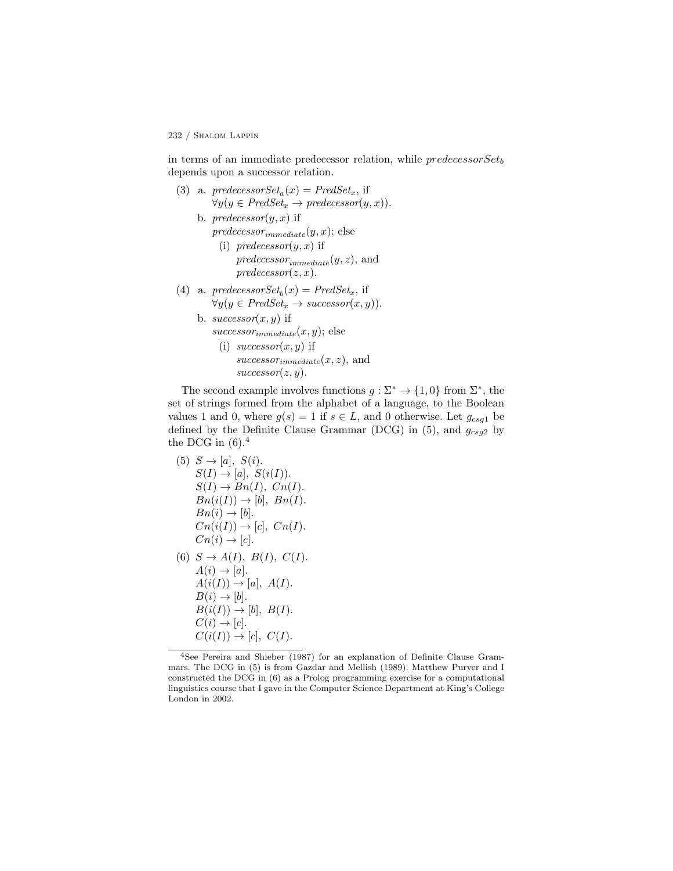in terms of an immediate predecessor relation, while *predecessorSet<sup>b</sup>* depends upon a successor relation.

(3) a. *predecessorSet<sub>a</sub>*(*x*) = *PredSet<sub>x</sub>*, if  $\forall y (y \in PredSet_x \rightarrow predecessary(y, x)).$ b. *predecessor*(*y, x*) if *predecessorimmediate*(*y, x*); else (i) *predecessor*(*y, x*) if *predecessorimmediate*(*y, z*), and *predecessor*(*z, x*). (4) a. *predecessorSet*<sub>*b*</sub>(*x*) = *PredSet<sub>x</sub>*, if  $\forall y (y \in PredSet_x \rightarrow successor(x, y)).$ b.  $successor(x, y)$  if *successorimmediate*(*x, y*); else (i)  $successor(x, y)$  if *successorimmediate*(*x, z*), and

 $successor(z, y)$ .

The second example involves functions  $g : \Sigma^* \to \{1,0\}$  from  $\Sigma^*$ , the set of strings formed from the alphabet of a language, to the Boolean values 1 and 0, where  $g(s) = 1$  if  $s \in L$ , and 0 otherwise. Let  $g_{csg1}$  be defined by the Definite Clause Grammar (DCG) in (5), and *gcsg*<sup>2</sup> by the DCG in  $(6).<sup>4</sup>$ 

(5) 
$$
S \to [a], S(i).
$$
  
\n $S(I) \to [a], S(i(I)).$   
\n $S(I) \to Bn(I), Cn(I).$   
\n $Bn(i(I)) \to [b], Bn(I).$   
\n $Bn(i) \to [b].$   
\n $Cn(i(I)) \to [c], Cn(I).$   
\n $Cn(i) \to [c].$   
\n(6)  $S \to A(I), B(I), C(I).$   
\n $A(i) \to [a].$   
\n $A(i(I)) \to [a], A(I).$   
\n $B(i) \to [b].$   
\n $B(i(I)) \to [b], B(I).$   
\n $C(i) \to [c].$   
\n $C(i(I)) \to [c], C(I).$ 

<sup>4</sup>See Pereira and Shieber (1987) for an explanation of Definite Clause Grammars. The DCG in (5) is from Gazdar and Mellish (1989). Matthew Purver and I constructed the DCG in (6) as a Prolog programming exercise for a computational linguistics course that I gave in the Computer Science Department at King's College London in 2002.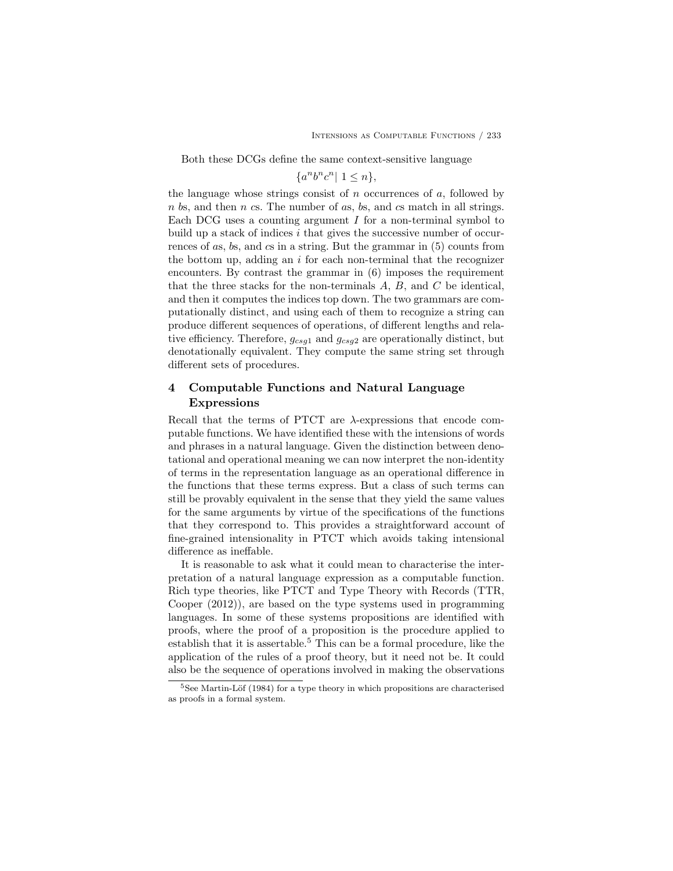Both these DCGs define the same context-sensitive language

 ${a^n b^n c^n | 1 \leq n}$ 

the language whose strings consist of *n* occurrences of *a*, followed by *n b*s, and then *n c*s. The number of *a*s, *b*s, and *c*s match in all strings. Each DCG uses a counting argument *I* for a non-terminal symbol to build up a stack of indices *i* that gives the successive number of occurrences of *a*s, *b*s, and *c*s in a string. But the grammar in (5) counts from the bottom up, adding an *i* for each non-terminal that the recognizer encounters. By contrast the grammar in (6) imposes the requirement that the three stacks for the non-terminals *A*, *B*, and *C* be identical, and then it computes the indices top down. The two grammars are computationally distinct, and using each of them to recognize a string can produce different sequences of operations, of different lengths and relative efficiency. Therefore,  $g_{csg1}$  and  $g_{csg2}$  are operationally distinct, but denotationally equivalent. They compute the same string set through different sets of procedures.

# 4 Computable Functions and Natural Language Expressions

Recall that the terms of PTCT are  $\lambda$ -expressions that encode computable functions. We have identified these with the intensions of words and phrases in a natural language. Given the distinction between denotational and operational meaning we can now interpret the non-identity of terms in the representation language as an operational difference in the functions that these terms express. But a class of such terms can still be provably equivalent in the sense that they yield the same values for the same arguments by virtue of the specifications of the functions that they correspond to. This provides a straightforward account of fine-grained intensionality in PTCT which avoids taking intensional difference as ineffable.

It is reasonable to ask what it could mean to characterise the interpretation of a natural language expression as a computable function. Rich type theories, like PTCT and Type Theory with Records (TTR, Cooper (2012)), are based on the type systems used in programming languages. In some of these systems propositions are identified with proofs, where the proof of a proposition is the procedure applied to establish that it is assertable.<sup>5</sup> This can be a formal procedure, like the application of the rules of a proof theory, but it need not be. It could also be the sequence of operations involved in making the observations

 $5$ See Martin-Löf (1984) for a type theory in which propositions are characterised as proofs in a formal system.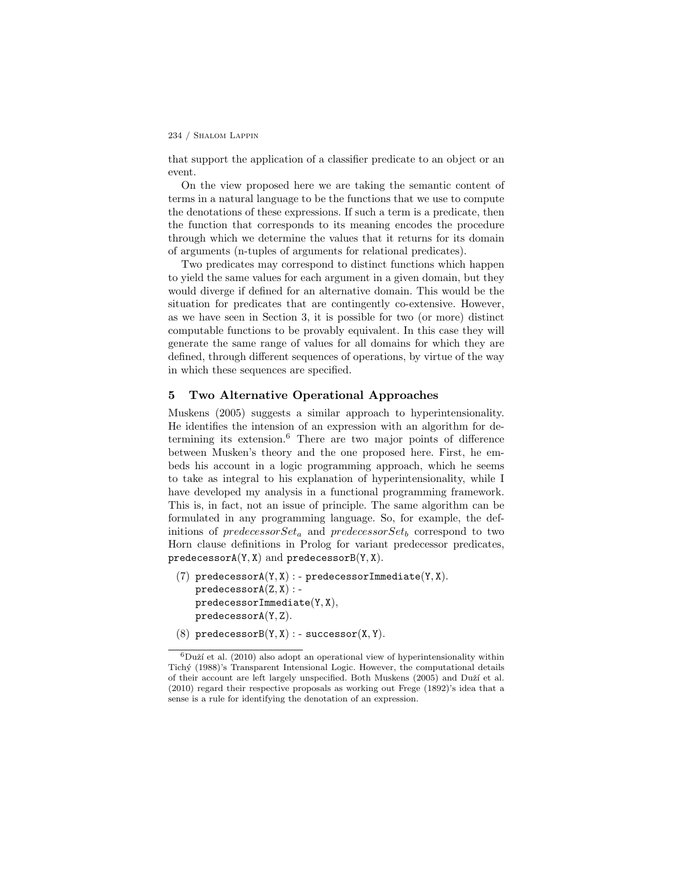that support the application of a classifier predicate to an object or an event.

On the view proposed here we are taking the semantic content of terms in a natural language to be the functions that we use to compute the denotations of these expressions. If such a term is a predicate, then the function that corresponds to its meaning encodes the procedure through which we determine the values that it returns for its domain of arguments (n-tuples of arguments for relational predicates).

Two predicates may correspond to distinct functions which happen to yield the same values for each argument in a given domain, but they would diverge if defined for an alternative domain. This would be the situation for predicates that are contingently co-extensive. However, as we have seen in Section 3, it is possible for two (or more) distinct computable functions to be provably equivalent. In this case they will generate the same range of values for all domains for which they are defined, through different sequences of operations, by virtue of the way in which these sequences are specified.

## 5 Two Alternative Operational Approaches

Muskens (2005) suggests a similar approach to hyperintensionality. He identifies the intension of an expression with an algorithm for determining its extension.<sup>6</sup> There are two major points of difference between Musken's theory and the one proposed here. First, he embeds his account in a logic programming approach, which he seems to take as integral to his explanation of hyperintensionality, while I have developed my analysis in a functional programming framework. This is, in fact, not an issue of principle. The same algorithm can be formulated in any programming language. So, for example, the definitions of *predecessorSet<sup>a</sup>* and *predecessorSet<sup>b</sup>* correspond to two Horn clause definitions in Prolog for variant predecessor predicates, predecessorA(Y*,* X) and predecessorB(Y*,* X).

- (7) predecessorA(Y*,* X):- predecessorImmediate(Y*,* X)*.* predecessorA(Z*,* X): predecessorImmediate(Y*,* X)*,* predecessorA(Y*,* Z)*.*
- $(8)$  predecessor $B(Y, X)$ : successor $(X, Y)$ .

 ${}^{6}$ Duží et al. (2010) also adopt an operational view of hyperintensionality within Tich´y (1988)'s Transparent Intensional Logic. However, the computational details of their account are left largely unspecified. Both Muskens (2005) and Duží et al. (2010) regard their respective proposals as working out Frege (1892)'s idea that a sense is a rule for identifying the denotation of an expression.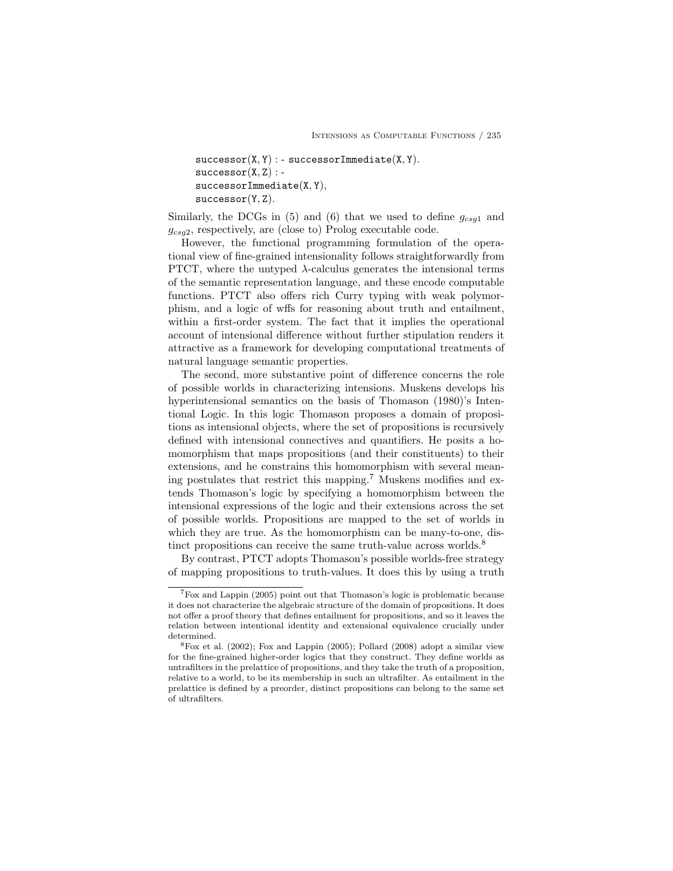```
successcr(X, Y): - successorImmediate(X, Y).
successor(X,Z): -
successorImmediate(X, Y),
successor(Y, Z).
```
Similarly, the DCGs in  $(5)$  and  $(6)$  that we used to define  $g_{csg1}$  and *gcsg*2, respectively, are (close to) Prolog executable code.

However, the functional programming formulation of the operational view of fine-grained intensionality follows straightforwardly from PTCT, where the untyped  $\lambda$ -calculus generates the intensional terms of the semantic representation language, and these encode computable functions. PTCT also offers rich Curry typing with weak polymorphism, and a logic of wffs for reasoning about truth and entailment, within a first-order system. The fact that it implies the operational account of intensional difference without further stipulation renders it attractive as a framework for developing computational treatments of natural language semantic properties.

The second, more substantive point of difference concerns the role of possible worlds in characterizing intensions. Muskens develops his hyperintensional semantics on the basis of Thomason (1980)'s Intentional Logic. In this logic Thomason proposes a domain of propositions as intensional objects, where the set of propositions is recursively defined with intensional connectives and quantifiers. He posits a homomorphism that maps propositions (and their constituents) to their extensions, and he constrains this homomorphism with several meaning postulates that restrict this mapping.<sup>7</sup> Muskens modifies and extends Thomason's logic by specifying a homomorphism between the intensional expressions of the logic and their extensions across the set of possible worlds. Propositions are mapped to the set of worlds in which they are true. As the homomorphism can be many-to-one, distinct propositions can receive the same truth-value across worlds.<sup>8</sup>

By contrast, PTCT adopts Thomason's possible worlds-free strategy of mapping propositions to truth-values. It does this by using a truth

<sup>7</sup>Fox and Lappin (2005) point out that Thomason's logic is problematic because it does not characterize the algebraic structure of the domain of propositions. It does not offer a proof theory that defines entailment for propositions, and so it leaves the relation between intentional identity and extensional equivalence crucially under determined.

 $8$ Fox et al. (2002); Fox and Lappin (2005); Pollard (2008) adopt a similar view for the fine-grained higher-order logics that they construct. They define worlds as untrafilters in the prelattice of propositions, and they take the truth of a proposition, relative to a world, to be its membership in such an ultrafilter. As entailment in the prelattice is defined by a preorder, distinct propositions can belong to the same set of ultrafilters.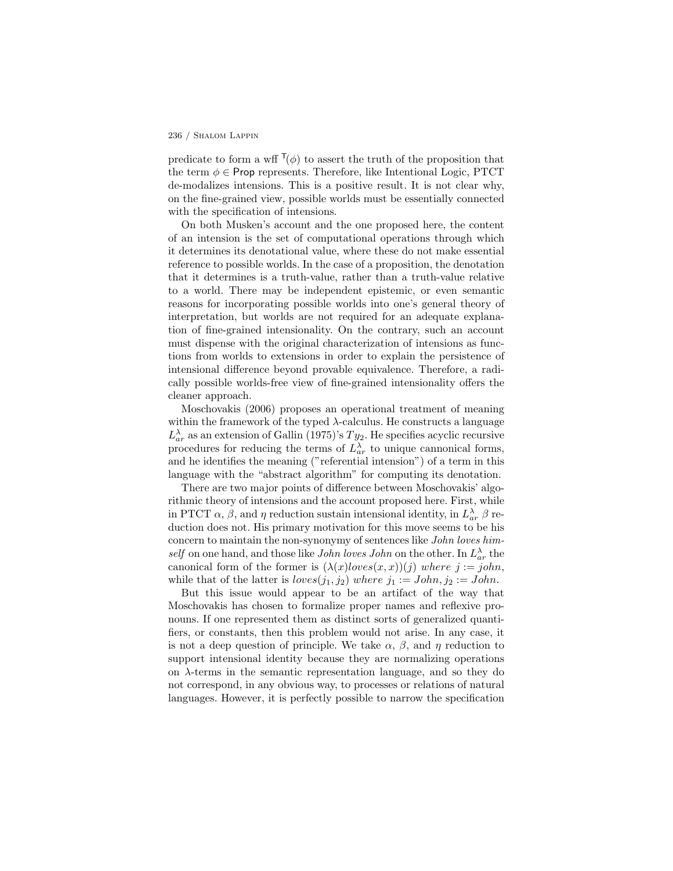predicate to form a wff  $\mathsf{T}(\phi)$  to assert the truth of the proposition that the term  $\phi \in$  Prop represents. Therefore, like Intentional Logic, PTCT de-modalizes intensions. This is a positive result. It is not clear why, on the fine-grained view, possible worlds must be essentially connected with the specification of intensions.

On both Musken's account and the one proposed here, the content of an intension is the set of computational operations through which it determines its denotational value, where these do not make essential reference to possible worlds. In the case of a proposition, the denotation that it determines is a truth-value, rather than a truth-value relative to a world. There may be independent epistemic, or even semantic reasons for incorporating possible worlds into one's general theory of interpretation, but worlds are not required for an adequate explanation of fine-grained intensionality. On the contrary, such an account must dispense with the original characterization of intensions as functions from worlds to extensions in order to explain the persistence of intensional difference beyond provable equivalence. Therefore, a radically possible worlds-free view of fine-grained intensionality offers the cleaner approach.

Moschovakis (2006) proposes an operational treatment of meaning within the framework of the typed  $\lambda$ -calculus. He constructs a language  $L_{ar}^{\lambda}$  as an extension of Gallin (1975)'s *Ty*<sub>2</sub>. He specifies acyclic recursive procedures for reducing the terms of  $L_{ar}^{\lambda}$  to unique cannonical forms, and he identifies the meaning ("referential intension") of a term in this language with the "abstract algorithm" for computing its denotation.

There are two major points of difference between Moschovakis' algorithmic theory of intensions and the account proposed here. First, while in PTCT  $\alpha$ ,  $\beta$ , and  $\eta$  reduction sustain intensional identity, in  $L_{ar}^{\lambda}$   $\beta$  reduction does not. His primary motivation for this move seems to be his concern to maintain the non-synonymy of sentences like *John loves him*self on one hand, and those like *John loves John* on the other. In  $L_{ar}^{\lambda}$  the canonical form of the former is  $(\lambda(x)loves(x, x))(j)$  where  $j := john$ , while that of the latter is  $loves(j_1, j_2)$  where  $j_1 := John, j_2 := John$ .

But this issue would appear to be an artifact of the way that Moschovakis has chosen to formalize proper names and reflexive pronouns. If one represented them as distinct sorts of generalized quantifiers, or constants, then this problem would not arise. In any case, it is not a deep question of principle. We take  $\alpha$ ,  $\beta$ , and  $\eta$  reduction to support intensional identity because they are normalizing operations on  $\lambda$ -terms in the semantic representation language, and so they do not correspond, in any obvious way, to processes or relations of natural languages. However, it is perfectly possible to narrow the specification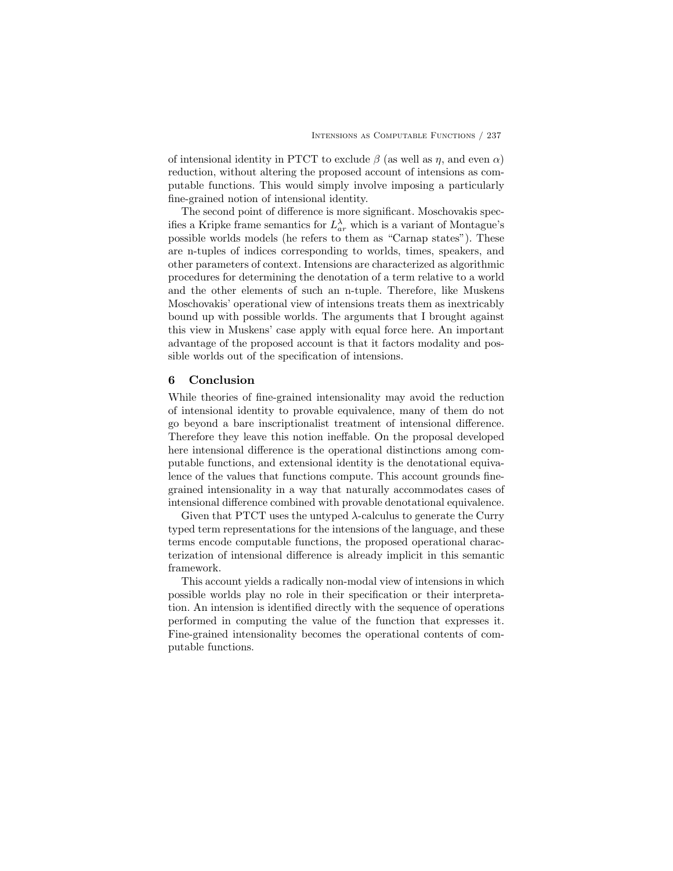of intensional identity in PTCT to exclude  $\beta$  (as well as  $\eta$ , and even  $\alpha$ ) reduction, without altering the proposed account of intensions as computable functions. This would simply involve imposing a particularly fine-grained notion of intensional identity.

The second point of difference is more significant. Moschovakis specifies a Kripke frame semantics for  $L_{ar}^{\lambda}$  which is a variant of Montague's possible worlds models (he refers to them as "Carnap states"). These are n-tuples of indices corresponding to worlds, times, speakers, and other parameters of context. Intensions are characterized as algorithmic procedures for determining the denotation of a term relative to a world and the other elements of such an n-tuple. Therefore, like Muskens Moschovakis' operational view of intensions treats them as inextricably bound up with possible worlds. The arguments that I brought against this view in Muskens' case apply with equal force here. An important advantage of the proposed account is that it factors modality and possible worlds out of the specification of intensions.

## 6 Conclusion

While theories of fine-grained intensionality may avoid the reduction of intensional identity to provable equivalence, many of them do not go beyond a bare inscriptionalist treatment of intensional difference. Therefore they leave this notion ineffable. On the proposal developed here intensional difference is the operational distinctions among computable functions, and extensional identity is the denotational equivalence of the values that functions compute. This account grounds finegrained intensionality in a way that naturally accommodates cases of intensional difference combined with provable denotational equivalence.

Given that PTCT uses the untyped  $\lambda$ -calculus to generate the Curry typed term representations for the intensions of the language, and these terms encode computable functions, the proposed operational characterization of intensional difference is already implicit in this semantic framework.

This account yields a radically non-modal view of intensions in which possible worlds play no role in their specification or their interpretation. An intension is identified directly with the sequence of operations performed in computing the value of the function that expresses it. Fine-grained intensionality becomes the operational contents of computable functions.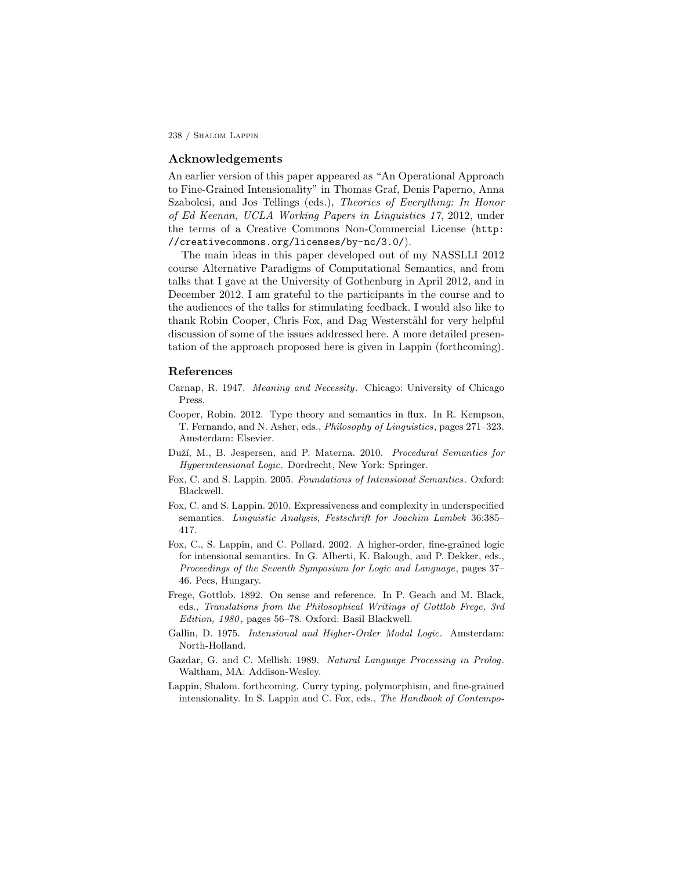## Acknowledgements

An earlier version of this paper appeared as "An Operational Approach to Fine-Grained Intensionality" in Thomas Graf, Denis Paperno, Anna Szabolcsi, and Jos Tellings (eds.), *Theories of Everything: In Honor of Ed Keenan, UCLA Working Papers in Linguistics 17*, 2012, under the terms of a Creative Commons Non-Commercial License (http: //creativecommons.org/licenses/by-nc/3.0/).

The main ideas in this paper developed out of my NASSLLI 2012 course Alternative Paradigms of Computational Semantics, and from talks that I gave at the University of Gothenburg in April 2012, and in December 2012. I am grateful to the participants in the course and to the audiences of the talks for stimulating feedback. I would also like to thank Robin Cooper, Chris Fox, and Dag Westerståhl for very helpful discussion of some of the issues addressed here. A more detailed presentation of the approach proposed here is given in Lappin (forthcoming).

#### References

- Carnap, R. 1947. *Meaning and Necessity*. Chicago: University of Chicago Press.
- Cooper, Robin. 2012. Type theory and semantics in flux. In R. Kempson, T. Fernando, and N. Asher, eds., *Philosophy of Linguistics*, pages 271–323. Amsterdam: Elsevier.
- Duží, M., B. Jespersen, and P. Materna. 2010. *Procedural Semantics for Hyperintensional Logic*. Dordrecht, New York: Springer.
- Fox, C. and S. Lappin. 2005. *Foundations of Intensional Semantics*. Oxford: Blackwell.
- Fox, C. and S. Lappin. 2010. Expressiveness and complexity in underspecified semantics. *Linguistic Analysis, Festschrift for Joachim Lambek* 36:385– 417.
- Fox, C., S. Lappin, and C. Pollard. 2002. A higher-order, fine-grained logic for intensional semantics. In G. Alberti, K. Balough, and P. Dekker, eds., *Proceedings of the Seventh Symposium for Logic and Language*, pages 37– 46. Pecs, Hungary.
- Frege, Gottlob. 1892. On sense and reference. In P. Geach and M. Black, eds., *Translations from the Philosophical Writings of Gottlob Frege, 3rd Edition, 1980* , pages 56–78. Oxford: Basil Blackwell.
- Gallin, D. 1975. *Intensional and Higher-Order Modal Logic*. Amsterdam: North-Holland.
- Gazdar, G. and C. Mellish. 1989. *Natural Language Processing in Prolog*. Waltham, MA: Addison-Wesley.
- Lappin, Shalom. forthcoming. Curry typing, polymorphism, and fine-grained intensionality. In S. Lappin and C. Fox, eds., *The Handbook of Contempo-*